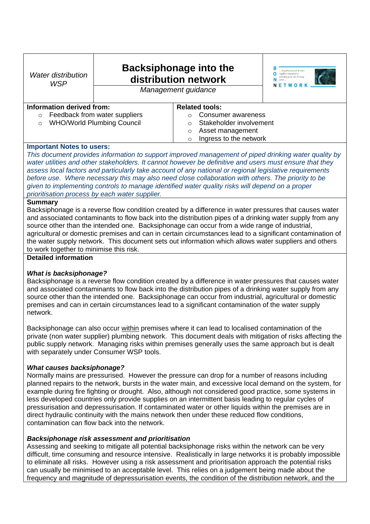| <b>Water distribution</b><br><b>WSP</b>                                                                                                                                                                                                                                                                                                                                                                                                                                                                                                                                               | <b>Backsiphonage into the</b><br>distribution network<br>Management guidance |                                   | A global network of water<br>suppliers committed to<br>roviding good safe drinking |  |
|---------------------------------------------------------------------------------------------------------------------------------------------------------------------------------------------------------------------------------------------------------------------------------------------------------------------------------------------------------------------------------------------------------------------------------------------------------------------------------------------------------------------------------------------------------------------------------------|------------------------------------------------------------------------------|-----------------------------------|------------------------------------------------------------------------------------|--|
| Information derived from:                                                                                                                                                                                                                                                                                                                                                                                                                                                                                                                                                             |                                                                              | <b>Related tools:</b>             |                                                                                    |  |
| Feedback from water suppliers<br>$\circ$                                                                                                                                                                                                                                                                                                                                                                                                                                                                                                                                              |                                                                              | Consumer awareness<br>O           |                                                                                    |  |
| <b>WHO/World Plumbing Council</b><br>$\circ$                                                                                                                                                                                                                                                                                                                                                                                                                                                                                                                                          |                                                                              | Stakeholder involvement<br>O      |                                                                                    |  |
|                                                                                                                                                                                                                                                                                                                                                                                                                                                                                                                                                                                       |                                                                              | Asset management<br>$\circ$       |                                                                                    |  |
|                                                                                                                                                                                                                                                                                                                                                                                                                                                                                                                                                                                       |                                                                              | Ingress to the network<br>$\circ$ |                                                                                    |  |
| <b>Important Notes to users:</b>                                                                                                                                                                                                                                                                                                                                                                                                                                                                                                                                                      |                                                                              |                                   |                                                                                    |  |
| This document provides information to support improved management of piped drinking water quality by<br>water utilities and other stakeholders. It cannot however be definitive and users must ensure that they<br>assess local factors and particularly take account of any national or regional legislative requirements<br>before use. Where necessary this may also need close collaboration with others. The priority to be<br>given to implementing controls to manage identified water quality risks will depend on a proper<br>prioritisation process by each water supplier. |                                                                              |                                   |                                                                                    |  |
| <b>Summary</b>                                                                                                                                                                                                                                                                                                                                                                                                                                                                                                                                                                        |                                                                              |                                   |                                                                                    |  |
| Backsiphonage is a reverse flow condition created by a difference in water pressures that causes water                                                                                                                                                                                                                                                                                                                                                                                                                                                                                |                                                                              |                                   |                                                                                    |  |
| and associated contaminants to flow back into the distribution pipes of a drinking water supply from any                                                                                                                                                                                                                                                                                                                                                                                                                                                                              |                                                                              |                                   |                                                                                    |  |
| source other than the intended one. Backsiphonage can occur from a wide range of industrial,                                                                                                                                                                                                                                                                                                                                                                                                                                                                                          |                                                                              |                                   |                                                                                    |  |
| agricultural or domestic premises and can in certain circumstances lead to a significant contamination of                                                                                                                                                                                                                                                                                                                                                                                                                                                                             |                                                                              |                                   |                                                                                    |  |
| the water supply network. This document sets out information which allows water suppliers and others                                                                                                                                                                                                                                                                                                                                                                                                                                                                                  |                                                                              |                                   |                                                                                    |  |

to work together to minimise this risk.

# **Detailed information**

# *What is backsiphonage?*

Backsiphonage is a reverse flow condition created by a difference in water pressures that causes water and associated contaminants to flow back into the distribution pipes of a drinking water supply from any source other than the intended one. Backsiphonage can occur from industrial, agricultural or domestic premises and can in certain circumstances lead to a significant contamination of the water supply network.

Backsiphonage can also occur within premises where it can lead to localised contamination of the private (non water supplier) plumbing network. This document deals with mitigation of risks affecting the public supply network. Managing risks within premises generally uses the same approach but is dealt with separately under Consumer WSP tools.

# *What causes backsiphonage?*

Normally mains are pressurised. However the pressure can drop for a number of reasons including planned repairs to the network, bursts in the water main, and excessive local demand on the system, for example during fire fighting or drought. Also, although not considered good practice, some systems in less developed countries only provide supplies on an intermittent basis leading to regular cycles of pressurisation and depressurisation. If contaminated water or other liquids within the premises are in direct hydraulic continuity with the mains network then under these reduced flow conditions, contamination can flow back into the network.

## *Backsiphonage risk assessment and prioritisation*

Assessing and seeking to mitigate all potential backsiphonage risks within the network can be very difficult, time consuming and resource intensive. Realistically in large networks it is probably impossible to eliminate all risks. However using a risk assessment and prioritisation approach the potential risks can usually be minimised to an acceptable level. This relies on a judgement being made about the frequency and magnitude of depressurisation events, the condition of the distribution network, and the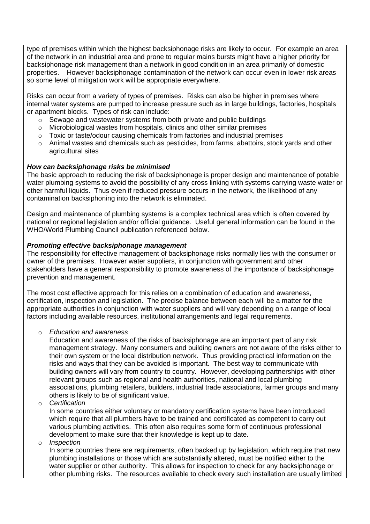type of premises within which the highest backsiphonage risks are likely to occur. For example an area of the network in an industrial area and prone to regular mains bursts might have a higher priority for backsiphonage risk management than a network in good condition in an area primarily of domestic properties. However backsiphonage contamination of the network can occur even in lower risk areas so some level of mitigation work will be appropriate everywhere.

Risks can occur from a variety of types of premises. Risks can also be higher in premises where internal water systems are pumped to increase pressure such as in large buildings, factories, hospitals or apartment blocks. Types of risk can include:

- o Sewage and wastewater systems from both private and public buildings
- $\circ$  Microbiological wastes from hospitals, clinics and other similar premises
- $\circ$  Toxic or taste/odour causing chemicals from factories and industrial premises
- $\circ$  Animal wastes and chemicals such as pesticides, from farms, abattoirs, stock vards and other agricultural sites

## *How can backsiphonage risks be minimised*

The basic approach to reducing the risk of backsiphonage is proper design and maintenance of potable water plumbing systems to avoid the possibility of any cross linking with systems carrying waste water or other harmful liquids. Thus even if reduced pressure occurs in the network, the likelihood of any contamination backsiphoning into the network is eliminated.

Design and maintenance of plumbing systems is a complex technical area which is often covered by national or regional legislation and/or official guidance. Useful general information can be found in the WHO/World Plumbing Council publication referenced below.

## *Promoting effective backsiphonage management*

The responsibility for effective management of backsiphonage risks normally lies with the consumer or owner of the premises. However water suppliers, in conjunction with government and other stakeholders have a general responsibility to promote awareness of the importance of backsiphonage prevention and management.

The most cost effective approach for this relies on a combination of education and awareness, certification, inspection and legislation. The precise balance between each will be a matter for the appropriate authorities in conjunction with water suppliers and will vary depending on a range of local factors including available resources, institutional arrangements and legal requirements.

## o *Education and awareness*

Education and awareness of the risks of backsiphonage are an important part of any risk management strategy. Many consumers and building owners are not aware of the risks either to their own system or the local distribution network. Thus providing practical information on the risks and ways that they can be avoided is important. The best way to communicate with building owners will vary from country to country. However, developing partnerships with other relevant groups such as regional and health authorities, national and local plumbing associations, plumbing retailers, builders, industrial trade associations, farmer groups and many others is likely to be of significant value.

o *Certification*

In some countries either voluntary or mandatory certification systems have been introduced which require that all plumbers have to be trained and certificated as competent to carry out various plumbing activities. This often also requires some form of continuous professional development to make sure that their knowledge is kept up to date.

o *Inspection*

In some countries there are requirements, often backed up by legislation, which require that new plumbing installations or those which are substantially altered, must be notified either to the water supplier or other authority. This allows for inspection to check for any backsiphonage or other plumbing risks. The resources available to check every such installation are usually limited